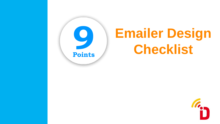

# **Emailer Design Checklist**<br> **Points**

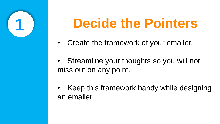

## **1 Decide the Pointers**

- Create the framework of your emailer.
- Streamline your thoughts so you will not miss out on any point.
- Keep this framework handy while designing an emailer.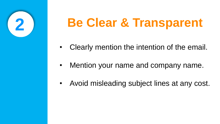

- Clearly mention the intention of the email.
- Mention your name and company name.
- Avoid misleading subject lines at any cost.

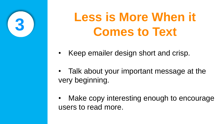

• Talk about your important message at the

### Make copy interesting enough to encourage

- Keep emailer design short and crisp.
- very beginning.
- users to read more.

## **Less is More When it Comes to Text**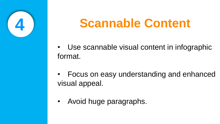



### • Focus on easy understanding and enhanced

- format.
- visual appeal.
- Avoid huge paragraphs.

## **Scannable Content**

### Use scannable visual content in infographic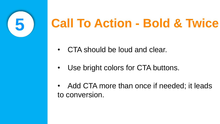

- CTA should be loud and clear.
- Use bright colors for CTA buttons.
- to conversion.

### • Add CTA more than once if needed; it leads

# **Call To Action - Bold & Twice**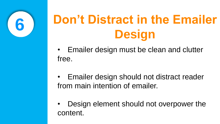

### • Emailer design must be clean and clutter

• Emailer design should not distract reader

- free.
- from main intention of emailer.
- content.

• Design element should not overpower the

# **Don't Distract in the Emailer Design**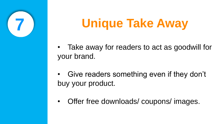

#### • Take away for readers to act as goodwill for

#### Give readers something even if they don't

- your brand.
- buy your product.
- 

### • Offer free downloads/ coupons/ images.

## **Unique Take Away**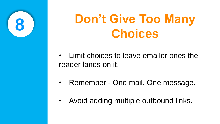

#### • Limit choices to leave emailer ones the

#### • Remember - One mail, One message.

reader lands on it.

- 
- 

• Avoid adding multiple outbound links.

## **Don't Give Too Many Choices**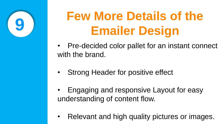

- Pre-decided color pallet for an instant connect with the brand.
- Strong Header for positive effect
- Engaging and responsive Layout for easy understanding of content flow.
- Relevant and high quality pictures or images.

# **Few More Details of the Emailer Design**